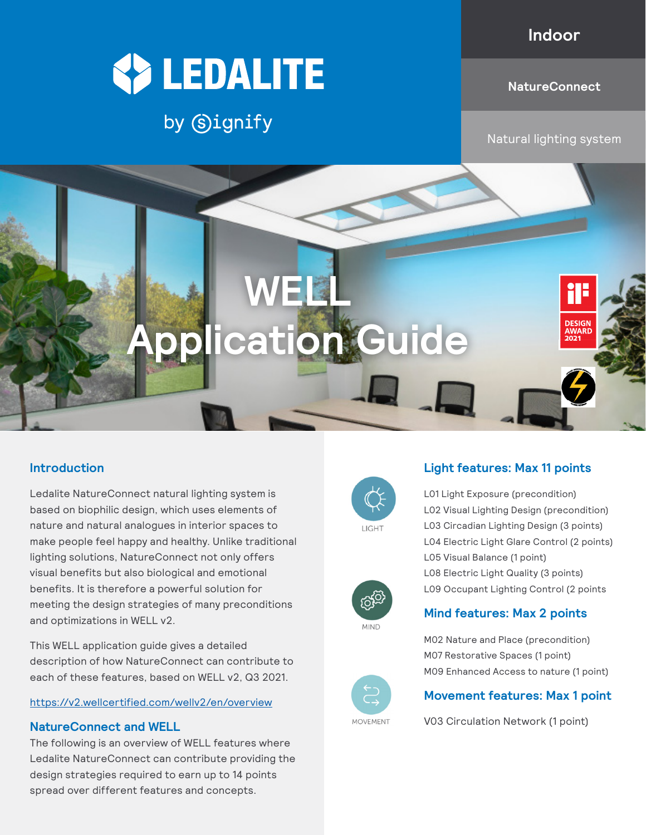## **Indoor**



## by Signify

**WELL**

**Application Gu** 

#### **NatureConnect**

Natural lighting system

**Introduction**

Ledalite NatureConnect natural lighting system is based on biophilic design, which uses elements of nature and natural analogues in interior spaces to make people feel happy and healthy. Unlike traditional lighting solutions, NatureConnect not only offers visual benefits but also biological and emotional benefits. It is therefore a powerful solution for meeting the design strategies of many preconditions and optimizations in WELL v2.

This WELL application guide gives a detailed description of how NatureConnect can contribute to each of these features, based on WELL v2, Q3 2021.

#### <https://v2.wellcertified.com/wellv2/en/overview>

#### **NatureConnect and WELL**

The following is an overview of WELL features where Ledalite NatureConnect can contribute providing the design strategies required to earn up to 14 points spread over different features and concepts.





L01 Light Exposure (precondition) L02 Visual Lighting Design (precondition) L03 Circadian Lighting Design (3 points) L04 Electric Light Glare Control (2 points) L05 Visual Balance (1 point) L08 Electric Light Quality (3 points) L09 Occupant Lighting Control (2 points

## **Mind features: Max 2 points**



**MIND** 

#### M02 Nature and Place (precondition) M07 Restorative Spaces (1 point) M09 Enhanced Access to nature (1 point)



V03 Circulation Network (1 point)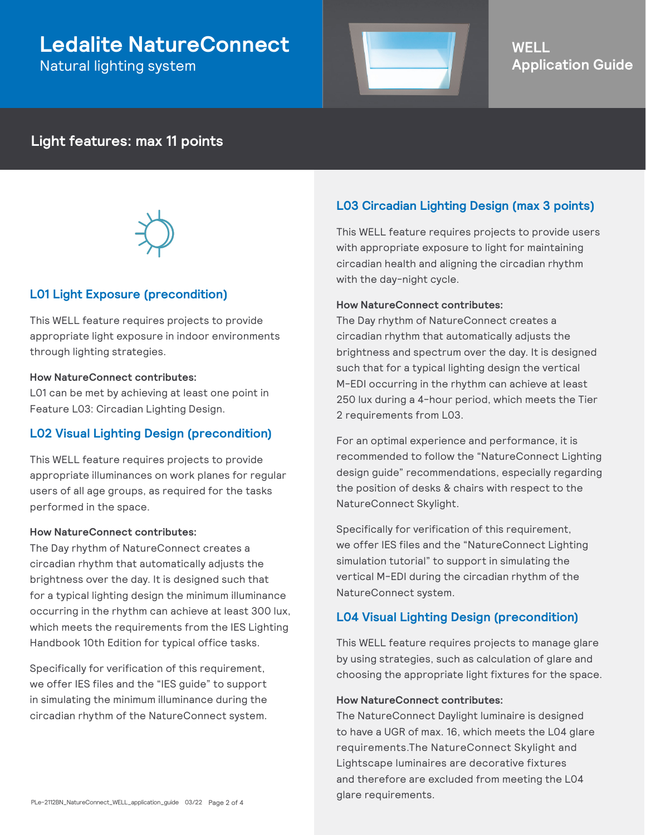## **Ledalite NatureConnect**

Natural lighting system



## **WELL Application Guide**

## **Light features: max 11 points**



### **L01 Light Exposure (precondition)**

This WELL feature requires projects to provide appropriate light exposure in indoor environments through lighting strategies.

#### **How NatureConnect contributes:**

L01 can be met by achieving at least one point in Feature L03: Circadian Lighting Design.

#### **L02 Visual Lighting Design (precondition)**

This WELL feature requires projects to provide appropriate illuminances on work planes for regular users of all age groups, as required for the tasks performed in the space.

#### **How NatureConnect contributes:**

The Day rhythm of NatureConnect creates a circadian rhythm that automatically adjusts the brightness over the day. It is designed such that for a typical lighting design the minimum illuminance occurring in the rhythm can achieve at least 300 lux, which meets the requirements from the IES Lighting Handbook 10th Edition for typical office tasks.

Specifically for verification of this requirement, we offer IES files and the "IES guide" to support in simulating the minimum illuminance during the circadian rhythm of the NatureConnect system.

### **L03 Circadian Lighting Design (max 3 points)**

This WELL feature requires projects to provide users with appropriate exposure to light for maintaining circadian health and aligning the circadian rhythm with the day-night cycle.

#### **How NatureConnect contributes:**

The Day rhythm of NatureConnect creates a circadian rhythm that automatically adjusts the brightness and spectrum over the day. It is designed such that for a typical lighting design the vertical M-EDI occurring in the rhythm can achieve at least 250 lux during a 4-hour period, which meets the Tier 2 requirements from L03.

For an optimal experience and performance, it is recommended to follow the "NatureConnect Lighting design guide" recommendations, especially regarding the position of desks & chairs with respect to the NatureConnect Skylight.

Specifically for verification of this requirement, we offer IES files and the "NatureConnect Lighting simulation tutorial" to support in simulating the vertical M-EDI during the circadian rhythm of the NatureConnect system.

#### **L04 Visual Lighting Design (precondition)**

This WELL feature requires projects to manage glare by using strategies, such as calculation of glare and choosing the appropriate light fixtures for the space.

#### **How NatureConnect contributes:**

The NatureConnect Daylight luminaire is designed to have a UGR of max. 16, which meets the L04 glare requirements.The NatureConnect Skylight and Lightscape luminaires are decorative fixtures and therefore are excluded from meeting the L04 glare requirements.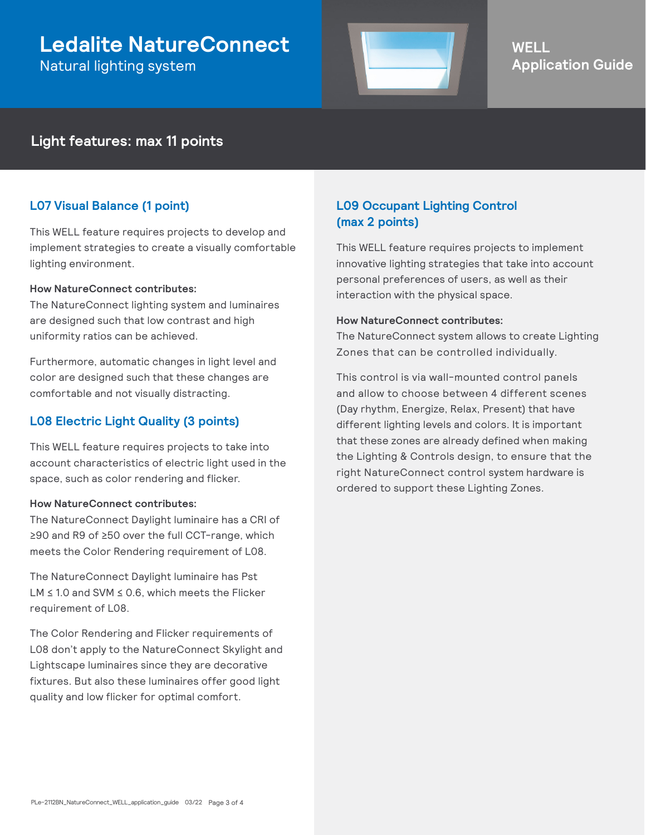## **Ledalite NatureConnect**

Natural lighting system



## **WELL Application Guide**

## **Light features: max 11 points**

### **L07 Visual Balance (1 point)**

This WELL feature requires projects to develop and implement strategies to create a visually comfortable lighting environment.

#### **How NatureConnect contributes:**

The NatureConnect lighting system and luminaires are designed such that low contrast and high uniformity ratios can be achieved.

Furthermore, automatic changes in light level and color are designed such that these changes are comfortable and not visually distracting.

## **L08 Electric Light Quality (3 points)**

This WELL feature requires projects to take into account characteristics of electric light used in the space, such as color rendering and flicker.

#### **How NatureConnect contributes:**

The NatureConnect Daylight luminaire has a CRI of ≥90 and R9 of ≥50 over the full CCT-range, which meets the Color Rendering requirement of L08.

The NatureConnect Daylight luminaire has Pst LM ≤ 1.0 and SVM ≤ 0.6, which meets the Flicker requirement of L08.

The Color Rendering and Flicker requirements of L08 don't apply to the NatureConnect Skylight and Lightscape luminaires since they are decorative fixtures. But also these luminaires offer good light quality and low flicker for optimal comfort.

## **L09 Occupant Lighting Control (max 2 points)**

This WELL feature requires projects to implement innovative lighting strategies that take into account personal preferences of users, as well as their interaction with the physical space.

#### **How NatureConnect contributes:**

The NatureConnect system allows to create Lighting Zones that can be controlled individually.

This control is via wall-mounted control panels and allow to choose between 4 different scenes (Day rhythm, Energize, Relax, Present) that have different lighting levels and colors. It is important that these zones are already defined when making the Lighting & Controls design, to ensure that the right NatureConnect control system hardware is ordered to support these Lighting Zones.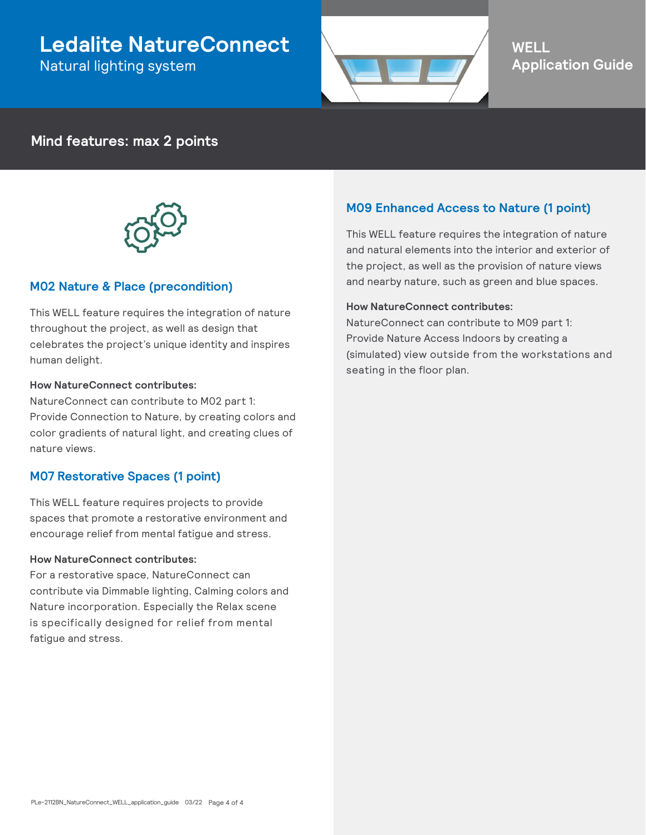## **Ledalite NatureConnect** Natural lighting system



## **WELL Application Guide**

## **Mind features: max 2 points**



### **M02 Nature & Place (precondition)**

This WELL feature requires the integration of nature throughout the project, as well as design that celebrates the project's unique identity and inspires human delight.

#### **How NatureConnect contributes:**

NatureConnect can contribute to M02 part 1: Provide Connection to Nature, by creating colors and color gradients of natural light, and creating clues of nature views.

### **M07 Restorative Spaces (1 point)**

This WELL feature requires projects to provide spaces that promote a restorative environment and encourage relief from mental fatigue and stress.

#### **How NatureConnect contributes:**

For a restorative space, NatureConnect can contribute via Dimmable lighting, Calming colors and Nature incorporation. Especially the Relax scene is specifically designed for relief from mental fatigue and stress.

### **M09 Enhanced Access to Nature (1 point)**

This WELL feature requires the integration of nature and natural elements into the interior and exterior of the project, as well as the provision of nature views and nearby nature, such as green and blue spaces.

#### **How NatureConnect contributes:**

NatureConnect can contribute to M09 part 1: Provide Nature Access Indoors by creating a (simulated) view outside from the workstations and seating in the floor plan.